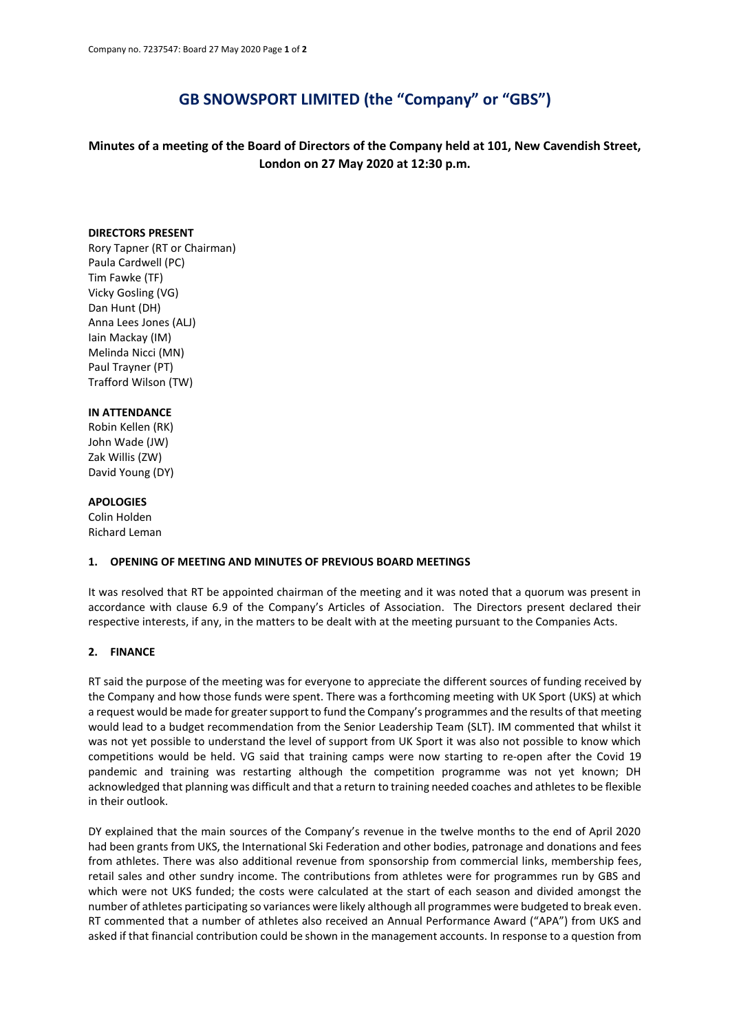# **GB SNOWSPORT LIMITED (the "Company" or "GBS")**

**Minutes of a meeting of the Board of Directors of the Company held at 101, New Cavendish Street, London on 27 May 2020 at 12:30 p.m.**

#### **DIRECTORS PRESENT**

Rory Tapner (RT or Chairman) Paula Cardwell (PC) Tim Fawke (TF) Vicky Gosling (VG) Dan Hunt (DH) Anna Lees Jones (ALJ) Iain Mackay (IM) Melinda Nicci (MN) Paul Trayner (PT) Trafford Wilson (TW)

### **IN ATTENDANCE**

Robin Kellen (RK) John Wade (JW) Zak Willis (ZW) David Young (DY)

#### **APOLOGIES**

Colin Holden Richard Leman

#### **1. OPENING OF MEETING AND MINUTES OF PREVIOUS BOARD MEETINGS**

It was resolved that RT be appointed chairman of the meeting and it was noted that a quorum was present in accordance with clause 6.9 of the Company's Articles of Association. The Directors present declared their respective interests, if any, in the matters to be dealt with at the meeting pursuant to the Companies Acts.

#### **2. FINANCE**

RT said the purpose of the meeting was for everyone to appreciate the different sources of funding received by the Company and how those funds were spent. There was a forthcoming meeting with UK Sport (UKS) at which a request would be made for greater support to fund the Company's programmes and the results of that meeting would lead to a budget recommendation from the Senior Leadership Team (SLT). IM commented that whilst it was not yet possible to understand the level of support from UK Sport it was also not possible to know which competitions would be held. VG said that training camps were now starting to re-open after the Covid 19 pandemic and training was restarting although the competition programme was not yet known; DH acknowledged that planning was difficult and that a return to training needed coaches and athletes to be flexible in their outlook.

DY explained that the main sources of the Company's revenue in the twelve months to the end of April 2020 had been grants from UKS, the International Ski Federation and other bodies, patronage and donations and fees from athletes. There was also additional revenue from sponsorship from commercial links, membership fees, retail sales and other sundry income. The contributions from athletes were for programmes run by GBS and which were not UKS funded; the costs were calculated at the start of each season and divided amongst the number of athletes participating so variances were likely although all programmes were budgeted to break even. RT commented that a number of athletes also received an Annual Performance Award ("APA") from UKS and asked if that financial contribution could be shown in the management accounts. In response to a question from